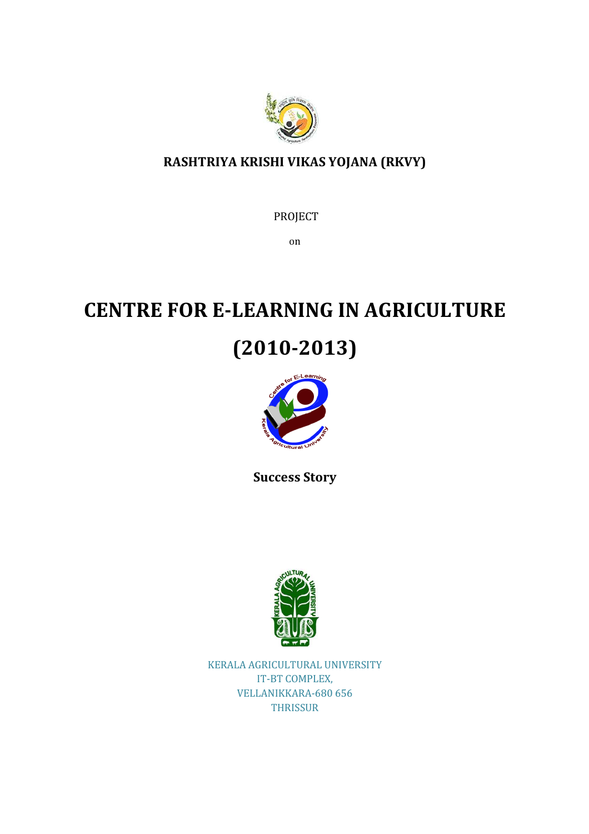

# RASHTRIYA KRISHI VIKAS YOJANA (RKVY)

PROJECT

on

# CENTRE FOR E-LEARNING IN AGRICULTURE

# (2010-2013)



Success Story



KERALA AGRICULTURAL UNIVERSITY IT-BT COMPLEX, VELLANIKKARA-680 656 **THRISSUR**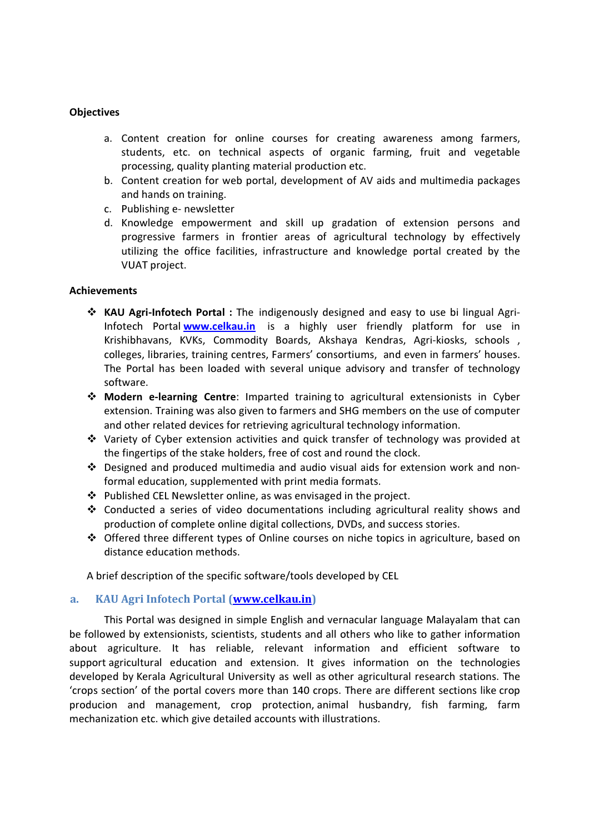#### **Objectives**

- a. Content creation for online courses for creating awareness among farmers, students, etc. on technical aspects of organic farming, fruit and vegetable processing, quality planting material production etc.
- b. Content creation for web portal, development of AV aids and multimedia packages and hands on training.
- c. Publishing e- newsletter
- d. Knowledge empowerment and skill up gradation of extension persons and progressive farmers in frontier areas of agricultural technology by effectively utilizing the office facilities, infrastructure and knowledge portal created by the VUAT project.

### Achievements

- \* KAU Agri-Infotech Portal : The indigenously designed and easy to use bi lingual Agri-Infotech Portal www.celkau.in is a highly user friendly platform for use in Krishibhavans, KVKs, Commodity Boards, Akshaya Kendras, Agri-kiosks, schools, colleges, libraries, training centres, Farmers' consortiums, and even in farmers' houses. The Portal has been loaded with several unique advisory and transfer of technology software.
- Modern e-learning Centre: Imparted training to agricultural extensionists in Cyber extension. Training was also given to farmers and SHG members on the use of computer and other related devices for retrieving agricultural technology information.
- Variety of Cyber extension activities and quick transfer of technology was provided at the fingertips of the stake holders, free of cost and round the clock.
- $\div$  Designed and produced multimedia and audio visual aids for extension work and nonformal education, supplemented with print media formats.
- $\div$  Published CEL Newsletter online, as was envisaged in the project.
- Conducted a series of video documentations including agricultural reality shows and production of complete online digital collections, DVDs, and success stories.
- $\div$  Offered three different types of Online courses on niche topics in agriculture, based on distance education methods.

A brief description of the specific software/tools developed by CEL

# a. KAU Agri Infotech Portal (www.celkau.in)

This Portal was designed in simple English and vernacular language Malayalam that can be followed by extensionists, scientists, students and all others who like to gather information about agriculture. It has reliable, relevant information and efficient software to support agricultural education and extension. It gives information on the technologies developed by Kerala Agricultural University as well as other agricultural research stations. The 'crops section' of the portal covers more than 140 crops. There are different sections like crop producion and management, crop protection, animal husbandry, fish farming, farm mechanization etc. which give detailed accounts with illustrations.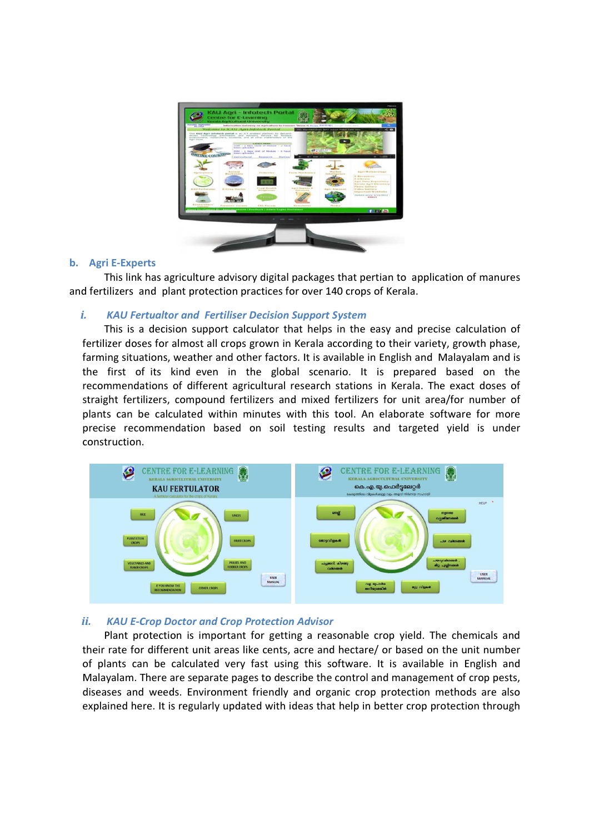

### b. Agri E-Experts

This link has agriculture advisory digital packages that pertian to application of manures and fertilizers and plant protection practices for over 140 crops of Kerala.

### i. KAU Fertualtor and Fertiliser Decision Support System

This is a decision support calculator that helps in the easy and precise calculation of fertilizer doses for almost all crops grown in Kerala according to their variety, growth phase, farming situations, weather and other factors. It is available in English and Malayalam and is the first of its kind even in the global scenario. It is prepared based on the recommendations of different agricultural research stations in Kerala. The exact doses of straight fertilizers, compound fertilizers and mixed fertilizers for unit area/for number of plants can be calculated within minutes with this tool. An elaborate software for more precise recommendation based on soil testing results and targeted yield is under construction.



# ii. KAU E-Crop Doctor and Crop Protection Advisor

Plant protection is important for getting a reasonable crop yield. The chemicals and their rate for different unit areas like cents, acre and hectare/ or based on the unit number of plants can be calculated very fast using this software. It is available in English and Malayalam. There are separate pages to describe the control and management of crop pests, diseases and weeds. Environment friendly and organic crop protection methods are also explained here. It is regularly updated with ideas that help in better crop protection through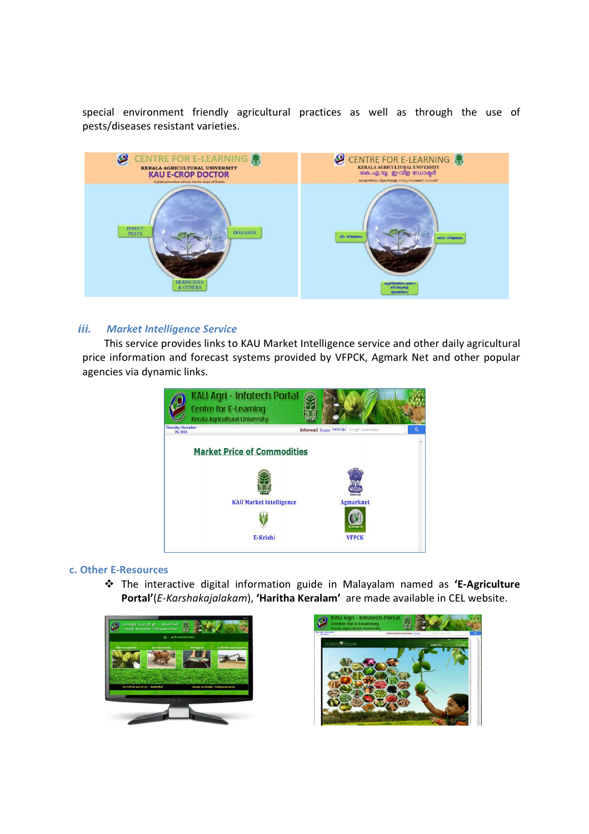special environment friendly agricultural practices as well as through the use of pests/diseases resistant varieties.



### iii. Market Intelligence Service

This service provides links to KAU Market Intelligence service and other daily agricultural price information and forecast systems provided by VFPCK, Agmark Net and other popular agencies via dynamic links.



#### c. Other E-Resources

\* The interactive digital information guide in Malayalam named as 'E-Agriculture Portal'(E-Karshakajalakam), 'Haritha Keralam' are made available in CEL website.



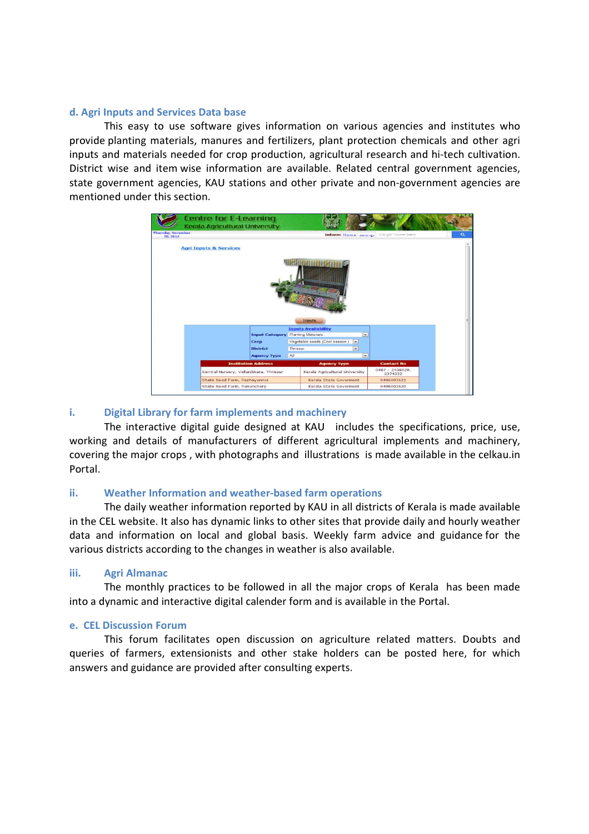### d. Agri Inputs and Services Data base

This easy to use software gives information on various agencies and institutes who provide planting materials, manures and fertilizers, plant protection chemicals and other agri inputs and materials needed for crop production, agricultural research and hi-tech cultivation. District wise and item wise information are available. Related central government agencies, state government agencies, KAU stations and other private and non-government agencies are mentioned under this section.



# i. Digital Library for farm implements and machinery

The interactive digital guide designed at KAU includes the specifications, price, use, working and details of manufacturers of different agricultural implements and machinery, covering the major crops , with photographs and illustrations is made available in the celkau.in Portal.

# ii. Weather Information and weather-based farm operations

The daily weather information reported by KAU in all districts of Kerala is made available in the CEL website. It also has dynamic links to other sites that provide daily and hourly weather data and information on local and global basis. Weekly farm advice and guidance for the various districts according to the changes in weather is also available.

# iii. Agri Almanac

The monthly practices to be followed in all the major crops of Kerala has been made into a dynamic and interactive digital calender form and is available in the Portal.

# e. CEL Discussion Forum

This forum facilitates open discussion on agriculture related matters. Doubts and queries of farmers, extensionists and other stake holders can be posted here, for which answers and guidance are provided after consulting experts.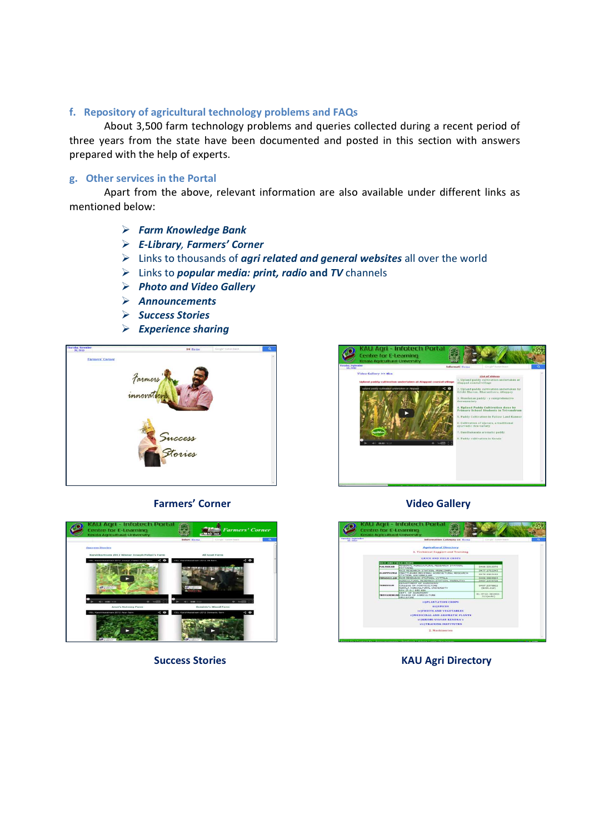# f. Repository of agricultural technology problems and FAQs

About 3,500 farm technology problems and queries collected during a recent period of three years from the state have been documented and posted in this section with answers prepared with the help of experts.

#### g. Other services in the Portal

Apart from the above, relevant information are also available under different links as mentioned below:

- Farm Knowledge Bank
- E-Library, Farmers' Corner
- $\triangleright$  Links to thousands of *agri related and general websites* all over the world
- $\triangleright$  Links to *popular media: print, radio* and TV channels
- Photo and Video Gallery
- Announcements
- > Success Stories
- $\triangleright$  Experience sharing





#### Farmers' Corner **Video Gallery**





Success Stories **KAU Agri Directory**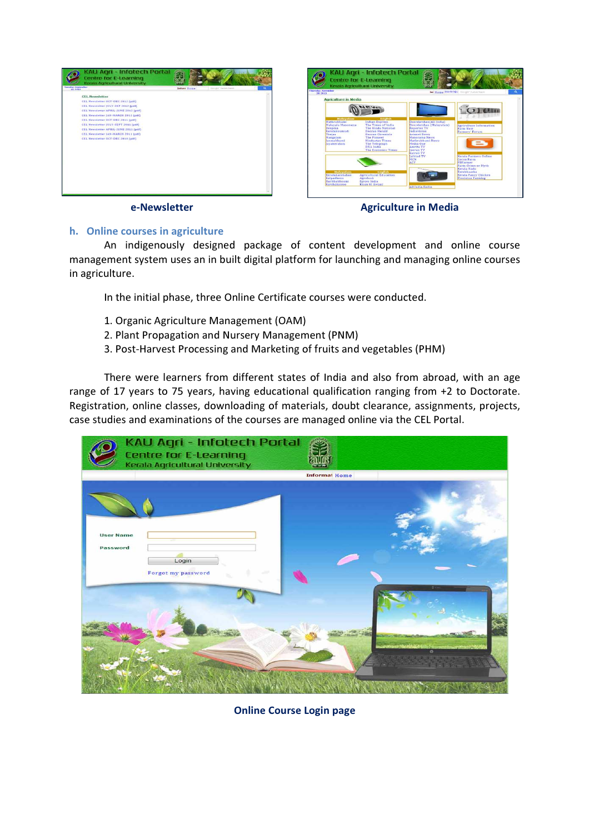



e-Newsletter **Agriculture in Media** e-Newsletter and agriculture in Media

# h. Online courses in agriculture

An indigenously designed package of content development and online course management system uses an in built digital platform for launching and managing online courses in agriculture.

In the initial phase, three Online Certificate courses were conducted.

- 1. Organic Agriculture Management (OAM)
- 2. Plant Propagation and Nursery Management (PNM)
- 3. Post-Harvest Processing and Marketing of fruits and vegetables (PHM)

There were learners from different states of India and also from abroad, with an age range of 17 years to 75 years, having educational qualification ranging from +2 to Doctorate. Registration, online classes, downloading of materials, doubt clearance, assignments, projects, case studies and examinations of the courses are managed online via the CEL Portal.

|                              | KAU Agri - Infotech Portal<br><b>Centre for E-Learning</b><br>Kerala Agricultural University |                      |             |
|------------------------------|----------------------------------------------------------------------------------------------|----------------------|-------------|
|                              |                                                                                              | <b>Informal Home</b> |             |
| <b>User Name</b><br>Password | Login<br>Forgot my password                                                                  |                      |             |
|                              |                                                                                              |                      | 10.133<br>õ |

Online Course Login page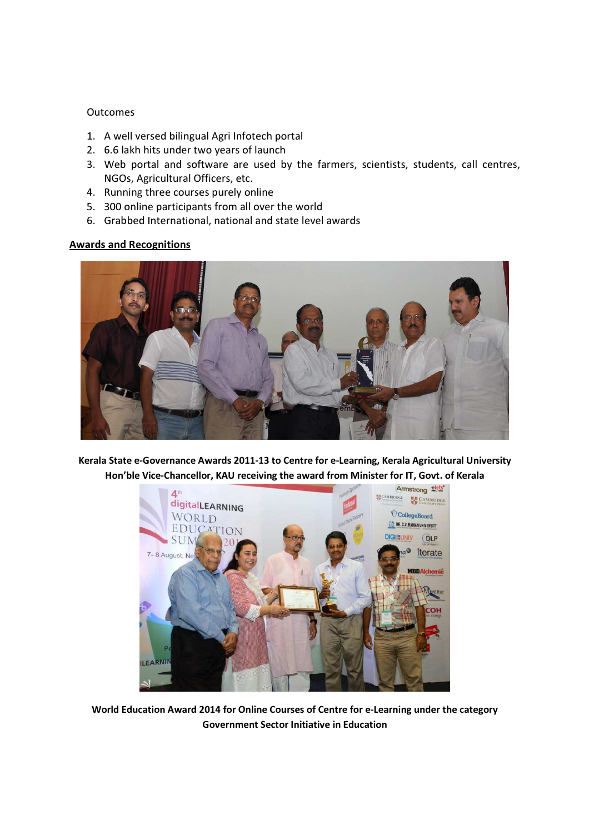### Outcomes

- 1. A well versed bilingual Agri Infotech portal
- 2. 6.6 lakh hits under two years of launch
- 3. Web portal and software are used by the farmers, scientists, students, call centres, NGOs, Agricultural Officers, etc.
- 4. Running three courses purely online
- 5. 300 online participants from all over the world
- 6. Grabbed International, national and state level awards

### Awards and Recognitions



Kerala State e-Governance Awards 2011-13 to Centre for e-Learning, Kerala Agricultural University Hon'ble Vice-Chancellor, KAU receiving the award from Minister for IT, Govt. of Kerala



World Education Award 2014 for Online Courses of Centre for e-Learning under the category Government Sector Initiative in Education